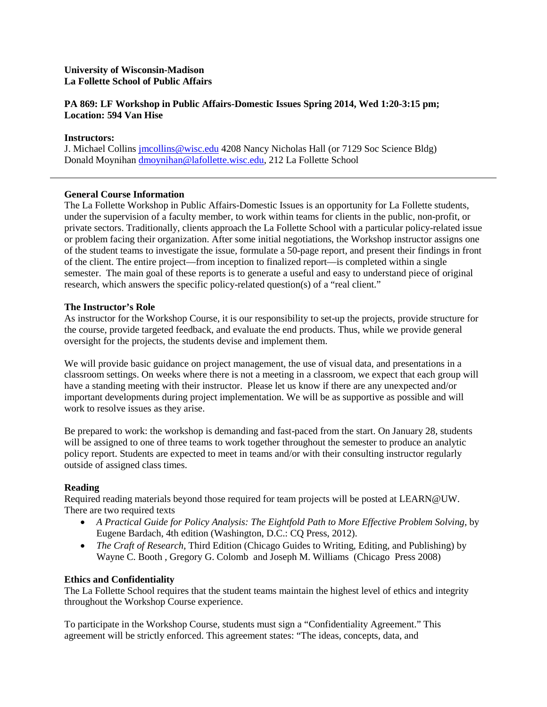# **University of Wisconsin-Madison La Follette School of Public Affairs**

# **PA 869: LF Workshop in Public Affairs-Domestic Issues Spring 2014, Wed 1:20-3:15 pm; Location: 594 Van Hise**

# **Instructors:**

J. Michael Collins [jmcollins@wisc.edu](mailto:jmcollins@wisc.edu) 4208 Nancy Nicholas Hall (or 7129 Soc Science Bldg) Donald Moynihan [dmoynihan@lafollette.wisc.edu,](mailto:dmoynihan@lafollette.wisc.edu) 212 La Follette School

## **General Course Information**

The La Follette Workshop in Public Affairs-Domestic Issues is an opportunity for La Follette students, under the supervision of a faculty member, to work within teams for clients in the public, non-profit, or private sectors. Traditionally, clients approach the La Follette School with a particular policy-related issue or problem facing their organization. After some initial negotiations, the Workshop instructor assigns one of the student teams to investigate the issue, formulate a 50-page report, and present their findings in front of the client. The entire project—from inception to finalized report—is completed within a single semester. The main goal of these reports is to generate a useful and easy to understand piece of original research, which answers the specific policy-related question(s) of a "real client."

## **The Instructor's Role**

As instructor for the Workshop Course, it is our responsibility to set-up the projects, provide structure for the course, provide targeted feedback, and evaluate the end products. Thus, while we provide general oversight for the projects, the students devise and implement them.

We will provide basic guidance on project management, the use of visual data, and presentations in a classroom settings. On weeks where there is not a meeting in a classroom, we expect that each group will have a standing meeting with their instructor. Please let us know if there are any unexpected and/or important developments during project implementation. We will be as supportive as possible and will work to resolve issues as they arise.

Be prepared to work: the workshop is demanding and fast-paced from the start. On January 28, students will be assigned to one of three teams to work together throughout the semester to produce an analytic policy report. Students are expected to meet in teams and/or with their consulting instructor regularly outside of assigned class times.

## **Reading**

Required reading materials beyond those required for team projects will be posted at LEARN@UW. There are two required texts

- *A Practical Guide for Policy Analysis: The Eightfold Path to More Effective Problem Solving*, by Eugene Bardach, 4th edition (Washington, D.C.: CQ Press, 2012).
- *The Craft of Research*, Third Edition (Chicago Guides to Writing, Editing, and Publishing) by Wayne C. Booth , Gregory G. Colomb and Joseph M. Williams (Chicago Press 2008)

## **Ethics and Confidentiality**

The La Follette School requires that the student teams maintain the highest level of ethics and integrity throughout the Workshop Course experience.

To participate in the Workshop Course, students must sign a "Confidentiality Agreement." This agreement will be strictly enforced. This agreement states: "The ideas, concepts, data, and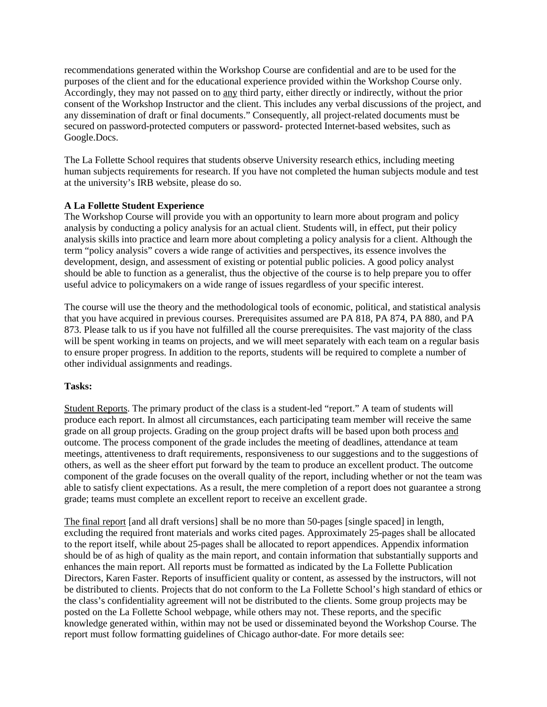recommendations generated within the Workshop Course are confidential and are to be used for the purposes of the client and for the educational experience provided within the Workshop Course only. Accordingly, they may not passed on to any third party, either directly or indirectly, without the prior consent of the Workshop Instructor and the client. This includes any verbal discussions of the project, and any dissemination of draft or final documents." Consequently, all project-related documents must be secured on password-protected computers or password- protected Internet-based websites, such as Google.Docs.

The La Follette School requires that students observe University research ethics, including meeting human subjects requirements for research. If you have not completed the human subjects module and test at the university's IRB website, please do so.

## **A La Follette Student Experience**

The Workshop Course will provide you with an opportunity to learn more about program and policy analysis by conducting a policy analysis for an actual client. Students will, in effect, put their policy analysis skills into practice and learn more about completing a policy analysis for a client. Although the term "policy analysis" covers a wide range of activities and perspectives, its essence involves the development, design, and assessment of existing or potential public policies. A good policy analyst should be able to function as a generalist, thus the objective of the course is to help prepare you to offer useful advice to policymakers on a wide range of issues regardless of your specific interest.

The course will use the theory and the methodological tools of economic, political, and statistical analysis that you have acquired in previous courses. Prerequisites assumed are PA 818, PA 874, PA 880, and PA 873. Please talk to us if you have not fulfilled all the course prerequisites. The vast majority of the class will be spent working in teams on projects, and we will meet separately with each team on a regular basis to ensure proper progress. In addition to the reports, students will be required to complete a number of other individual assignments and readings.

## **Tasks:**

Student Reports. The primary product of the class is a student-led "report." A team of students will produce each report. In almost all circumstances, each participating team member will receive the same grade on all group projects. Grading on the group project drafts will be based upon both process and outcome. The process component of the grade includes the meeting of deadlines, attendance at team meetings, attentiveness to draft requirements, responsiveness to our suggestions and to the suggestions of others, as well as the sheer effort put forward by the team to produce an excellent product. The outcome component of the grade focuses on the overall quality of the report, including whether or not the team was able to satisfy client expectations. As a result, the mere completion of a report does not guarantee a strong grade; teams must complete an excellent report to receive an excellent grade.

The final report [and all draft versions] shall be no more than 50-pages [single spaced] in length, excluding the required front materials and works cited pages. Approximately 25-pages shall be allocated to the report itself, while about 25-pages shall be allocated to report appendices. Appendix information should be of as high of quality as the main report, and contain information that substantially supports and enhances the main report. All reports must be formatted as indicated by the La Follette Publication Directors, Karen Faster. Reports of insufficient quality or content, as assessed by the instructors, will not be distributed to clients. Projects that do not conform to the La Follette School's high standard of ethics or the class's confidentiality agreement will not be distributed to the clients. Some group projects may be posted on the La Follette School webpage, while others may not. These reports, and the specific knowledge generated within, within may not be used or disseminated beyond the Workshop Course. The report must follow formatting guidelines of Chicago author-date. For more details see: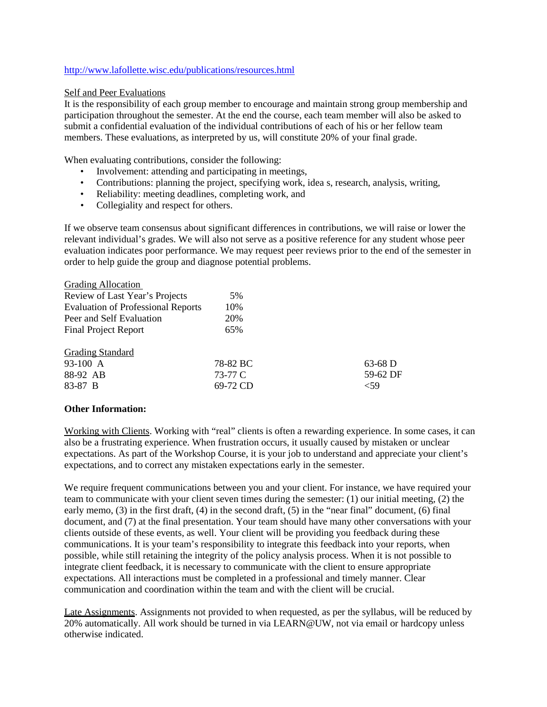## <http://www.lafollette.wisc.edu/publications/resources.html>

### Self and Peer Evaluations

It is the responsibility of each group member to encourage and maintain strong group membership and participation throughout the semester. At the end the course, each team member will also be asked to submit a confidential evaluation of the individual contributions of each of his or her fellow team members. These evaluations, as interpreted by us, will constitute 20% of your final grade.

When evaluating contributions, consider the following:

- Involvement: attending and participating in meetings,
- Contributions: planning the project, specifying work, idea s, research, analysis, writing,
- Reliability: meeting deadlines, completing work, and
- Collegiality and respect for others.

If we observe team consensus about significant differences in contributions, we will raise or lower the relevant individual's grades. We will also not serve as a positive reference for any student whose peer evaluation indicates poor performance. We may request peer reviews prior to the end of the semester in order to help guide the group and diagnose potential problems.

| 5%       |           |
|----------|-----------|
| 10%      |           |
| 20%      |           |
| 65%      |           |
|          |           |
| 78-82 BC | $63-68$ D |
| 73-77 C  | 59-62 DF  |
| 69-72 CD | <59       |
|          |           |

## **Other Information:**

Working with Clients. Working with "real" clients is often a rewarding experience. In some cases, it can also be a frustrating experience. When frustration occurs, it usually caused by mistaken or unclear expectations. As part of the Workshop Course, it is your job to understand and appreciate your client's expectations, and to correct any mistaken expectations early in the semester.

We require frequent communications between you and your client. For instance, we have required your team to communicate with your client seven times during the semester: (1) our initial meeting, (2) the early memo, (3) in the first draft, (4) in the second draft, (5) in the "near final" document, (6) final document, and (7) at the final presentation. Your team should have many other conversations with your clients outside of these events, as well. Your client will be providing you feedback during these communications. It is your team's responsibility to integrate this feedback into your reports, when possible, while still retaining the integrity of the policy analysis process. When it is not possible to integrate client feedback, it is necessary to communicate with the client to ensure appropriate expectations. All interactions must be completed in a professional and timely manner. Clear communication and coordination within the team and with the client will be crucial.

Late Assignments. Assignments not provided to when requested, as per the syllabus, will be reduced by 20% automatically. All work should be turned in via LEARN@UW, not via email or hardcopy unless otherwise indicated.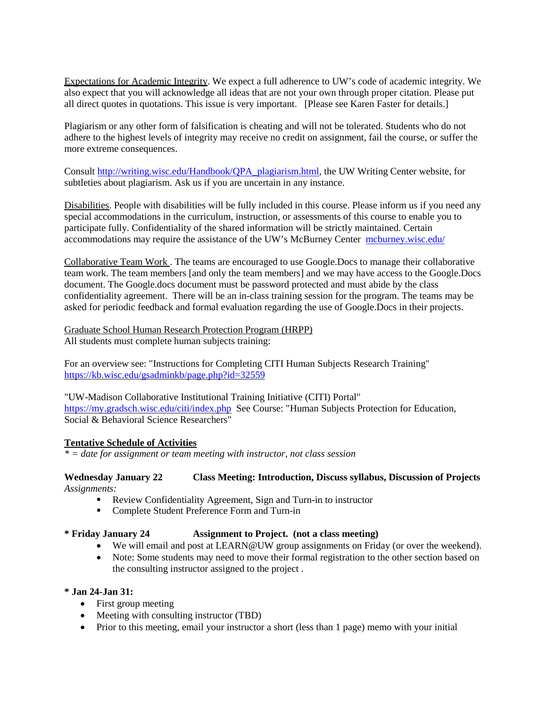Expectations for Academic Integrity. We expect a full adherence to UW's code of academic integrity. We also expect that you will acknowledge all ideas that are not your own through proper citation. Please put all direct quotes in quotations. This issue is very important. [Please see Karen Faster for details.]

Plagiarism or any other form of falsification is cheating and will not be tolerated. Students who do not adhere to the highest levels of integrity may receive no credit on assignment, fail the course, or suffer the more extreme consequences.

Consult [http://writing.wisc.edu/Handbook/QPA\\_plagiarism.html,](http://writing.wisc.edu/Handbook/QPA_plagiarism.html) the UW Writing Center website, for subtleties about plagiarism. Ask us if you are uncertain in any instance.

Disabilities. People with disabilities will be fully included in this course. Please inform us if you need any special accommodations in the curriculum, instruction, or assessments of this course to enable you to participate fully. Confidentiality of the shared information will be strictly maintained. Certain accommodations may require the assistance of the UW's McBurney Center [mcburney.wisc.edu/](http://www.mcburney.wisc.edu/)

Collaborative Team Work . The teams are encouraged to use Google.Docs to manage their collaborative team work. The team members [and only the team members] and we may have access to the Google.Docs document. The Google.docs document must be password protected and must abide by the class confidentiality agreement. There will be an in-class training session for the program. The teams may be asked for periodic feedback and formal evaluation regarding the use of Google.Docs in their projects.

Graduate School Human Research Protection Program (HRPP) All students must complete human subjects training:

For an overview see: "Instructions for Completing CITI Human Subjects Research Training" <https://kb.wisc.edu/gsadminkb/page.php?id=32559>

"UW-Madison Collaborative Institutional Training Initiative (CITI) Portal" <https://my.gradsch.wisc.edu/citi/index.php>See Course: "Human Subjects Protection for Education, Social & Behavioral Science Researchers"

## **Tentative Schedule of Activities**

*\* = date for assignment or team meeting with instructor, not class session*

## **Wednesday January 22 Class Meeting: Introduction, Discuss syllabus, Discussion of Projects** *Assignments:*

- Review Confidentiality Agreement, Sign and Turn-in to instructor
- Complete Student Preference Form and Turn-in

#### **\* Friday January 24 Assignment to Project. (not a class meeting)**

- We will email and post at LEARN@UW group assignments on Friday (or over the weekend).
- Note: Some students may need to move their formal registration to the other section based on the consulting instructor assigned to the project .

## **\* Jan 24-Jan 31:**

- First group meeting
- Meeting with consulting instructor (TBD)
- Prior to this meeting, email your instructor a short (less than 1 page) memo with your initial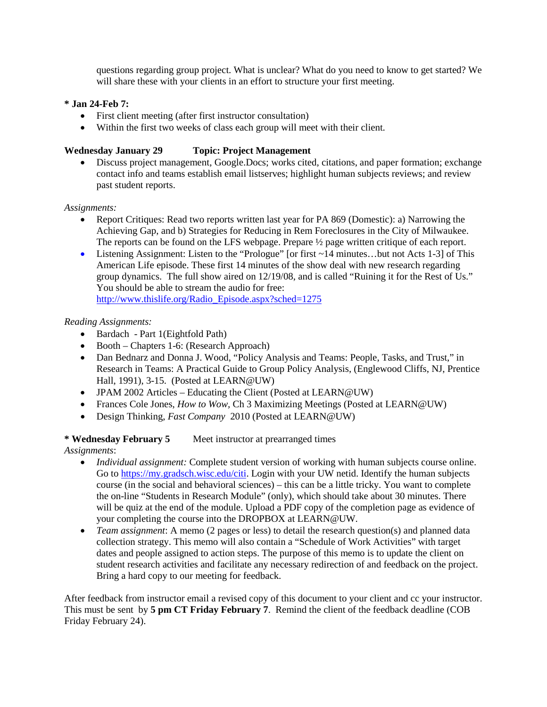questions regarding group project. What is unclear? What do you need to know to get started? We will share these with your clients in an effort to structure your first meeting.

# **\* Jan 24-Feb 7:**

- First client meeting (after first instructor consultation)
- Within the first two weeks of class each group will meet with their client.

# **Wednesday January 29 Topic: Project Management**

• Discuss project management, Google.Docs; works cited, citations, and paper formation; exchange contact info and teams establish email listserves; highlight human subjects reviews; and review past student reports.

## *Assignments:*

- Report Critiques: Read two reports written last year for PA 869 (Domestic): a) Narrowing the Achieving Gap, and b) Strategies for Reducing in Rem Foreclosures in the City of Milwaukee. The reports can be found on the LFS webpage. Prepare  $\frac{1}{2}$  page written critique of each report.
- Listening Assignment: Listen to the "Prologue" [or first ~14 minutes...but not Acts 1-3] of This American Life episode. These first 14 minutes of the show deal with new research regarding group dynamics. The full show aired on 12/19/08, and is called "Ruining it for the Rest of Us." You should be able to stream the audio for free: [http://www.thislife.org/Radio\\_Episode.aspx?sched=1275](http://www.thislife.org/Radio_Episode.aspx?sched=1275)

## *Reading Assignments:*

- Bardach Part 1(Eightfold Path)
- Booth Chapters 1-6: (Research Approach)
- Dan Bednarz and Donna J. Wood, "Policy Analysis and Teams: People, Tasks, and Trust," in Research in Teams: A Practical Guide to Group Policy Analysis, (Englewood Cliffs, NJ, Prentice Hall, 1991), 3-15. (Posted at LEARN@UW)
- JPAM 2002 Articles Educating the Client (Posted at LEARN@UW)
- Frances Cole Jones, *How to Wow*, Ch 3 Maximizing Meetings (Posted at LEARN@UW)
- Design Thinking, *Fast Company* 2010 (Posted at LEARN@UW)

## **\* Wednesday February 5** Meet instructor at prearranged times

*Assignments*:

- *Individual assignment:* Complete student version of working with human subjects course online. Go to https://my.gradsch.wisc.edu/citi. Login with your UW netid. Identify the human subjects course (in the social and behavioral sciences) – this can be a little tricky. You want to complete the on-line "Students in Research Module" (only), which should take about 30 minutes. There will be quiz at the end of the module. Upload a PDF copy of the completion page as evidence of your completing the course into the DROPBOX at LEARN@UW.
- *Team assignment*: A memo (2 pages or less) to detail the research question(s) and planned data collection strategy. This memo will also contain a "Schedule of Work Activities" with target dates and people assigned to action steps. The purpose of this memo is to update the client on student research activities and facilitate any necessary redirection of and feedback on the project. Bring a hard copy to our meeting for feedback.

After feedback from instructor email a revised copy of this document to your client and cc your instructor. This must be sent by **5 pm CT Friday February 7**. Remind the client of the feedback deadline (COB Friday February 24).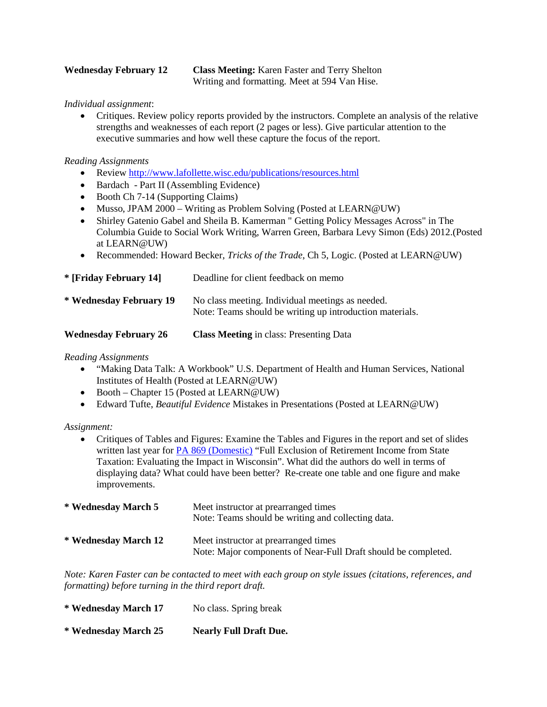**Wednesday February 12 Class Meeting:** Karen Faster and Terry Shelton Writing and formatting. Meet at 594 Van Hise.

*Individual assignment*:

• Critiques. Review policy reports provided by the instructors. Complete an analysis of the relative strengths and weaknesses of each report (2 pages or less). Give particular attention to the executive summaries and how well these capture the focus of the report.

# *Reading Assignments*

- Review<http://www.lafollette.wisc.edu/publications/resources.html>
- Bardach Part II (Assembling Evidence)
- Booth Ch 7-14 (Supporting Claims)
- Musso, JPAM 2000 Writing as Problem Solving (Posted at LEARN@UW)
- Shirley Gatenio Gabel and Sheila B. Kamerman " Getting Policy Messages Across" in The Columbia Guide to Social Work Writing, Warren Green, Barbara Levy Simon (Eds) 2012.(Posted at LEARN@UW)
- Recommended: Howard Becker, *Tricks of the Trade*, Ch 5, Logic. (Posted at LEARN@UW)

| * [Friday February 14]       | Deadline for client feedback on memo                                                                         |
|------------------------------|--------------------------------------------------------------------------------------------------------------|
| * Wednesday February 19      | No class meeting. Individual meetings as needed.<br>Note: Teams should be writing up introduction materials. |
| <b>Wednesday February 26</b> | <b>Class Meeting</b> in class: Presenting Data                                                               |

*Reading Assignments*

- "Making Data Talk: A Workbook" U.S. Department of Health and Human Services, National Institutes of Health (Posted at LEARN@UW)
- Booth Chapter 15 (Posted at LEARN@UW)
- Edward Tufte, *Beautiful Evidence* Mistakes in Presentations (Posted at LEARN@UW)

*Assignment:* 

• Critiques of Tables and Figures: Examine the Tables and Figures in the report and set of slides written last year for [PA 869 \(Domestic\)](http://www.lafollette.wisc.edu/publications/workshops.html) "Full Exclusion of Retirement Income from State Taxation: Evaluating the Impact in Wisconsin". What did the authors do well in terms of displaying data? What could have been better? Re-create one table and one figure and make improvements.

| * Wednesday March 5  | Meet instructor at prearranged times<br>Note: Teams should be writing and collecting data.             |
|----------------------|--------------------------------------------------------------------------------------------------------|
| * Wednesday March 12 | Meet instructor at prearranged times<br>Note: Major components of Near-Full Draft should be completed. |

*Note: Karen Faster can be contacted to meet with each group on style issues (citations, references, and formatting) before turning in the third report draft.*

| * Wednesday March 17 | No class. Spring break        |
|----------------------|-------------------------------|
| * Wednesday March 25 | <b>Nearly Full Draft Due.</b> |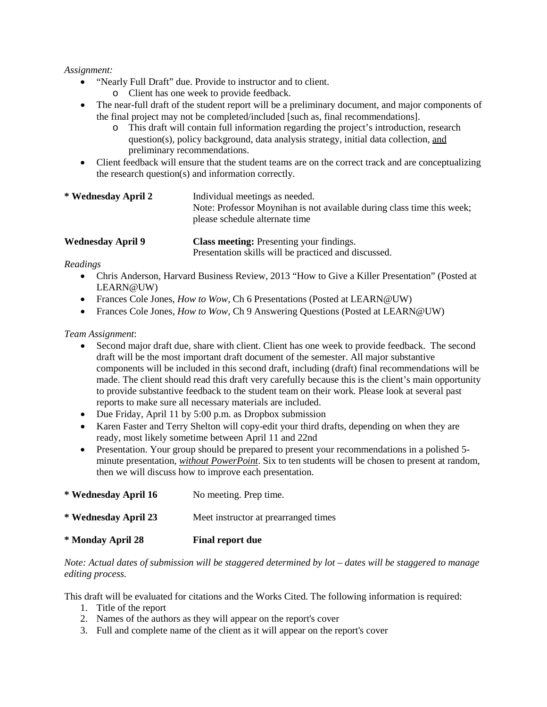## *Assignment:*

- "Nearly Full Draft" due. Provide to instructor and to client.
	- o Client has one week to provide feedback.
- The near-full draft of the student report will be a preliminary document, and major components of the final project may not be completed/included [such as, final recommendations].
	- o This draft will contain full information regarding the project's introduction, research question(s), policy background, data analysis strategy, initial data collection, and preliminary recommendations.
- Client feedback will ensure that the student teams are on the correct track and are conceptualizing the research question(s) and information correctly.

| * Wednesday April 2 | Individual meetings as needed.<br>Note: Professor Moynihan is not available during class time this week;<br>please schedule alternate time |
|---------------------|--------------------------------------------------------------------------------------------------------------------------------------------|
| .                   |                                                                                                                                            |

**Wednesday April 9 Class meeting:** Presenting your findings. Presentation skills will be practiced and discussed.

## *Readings*

- Chris Anderson, Harvard Business Review, 2013 "How to Give a Killer Presentation" (Posted at LEARN@UW)
- Frances Cole Jones, *How to Wow,* Ch 6 Presentations (Posted at LEARN@UW)
- Frances Cole Jones, *How to Wow*, Ch 9 Answering Questions (Posted at LEARN@UW)

## *Team Assignment*:

- Second major draft due, share with client. Client has one week to provide feedback. The second draft will be the most important draft document of the semester. All major substantive components will be included in this second draft, including (draft) final recommendations will be made. The client should read this draft very carefully because this is the client's main opportunity to provide substantive feedback to the student team on their work. Please look at several past reports to make sure all necessary materials are included.
- Due Friday, April 11 by 5:00 p.m. as Dropbox submission
- Karen Faster and Terry Shelton will copy-edit your third drafts, depending on when they are ready, most likely sometime between April 11 and 22nd
- Presentation. Your group should be prepared to present your recommendations in a polished 5minute presentation, *without PowerPoint*. Six to ten students will be chosen to present at random, then we will discuss how to improve each presentation.

| * Monday April 28    | <b>Final report due</b>              |
|----------------------|--------------------------------------|
| * Wednesday April 23 | Meet instructor at prearranged times |
| * Wednesday April 16 | No meeting. Prep time.               |

*Note: Actual dates of submission will be staggered determined by lot – dates will be staggered to manage editing process.* 

This draft will be evaluated for citations and the Works Cited. The following information is required:

- 1. Title of the report
- 2. Names of the authors as they will appear on the report's cover
- 3. Full and complete name of the client as it will appear on the report's cover